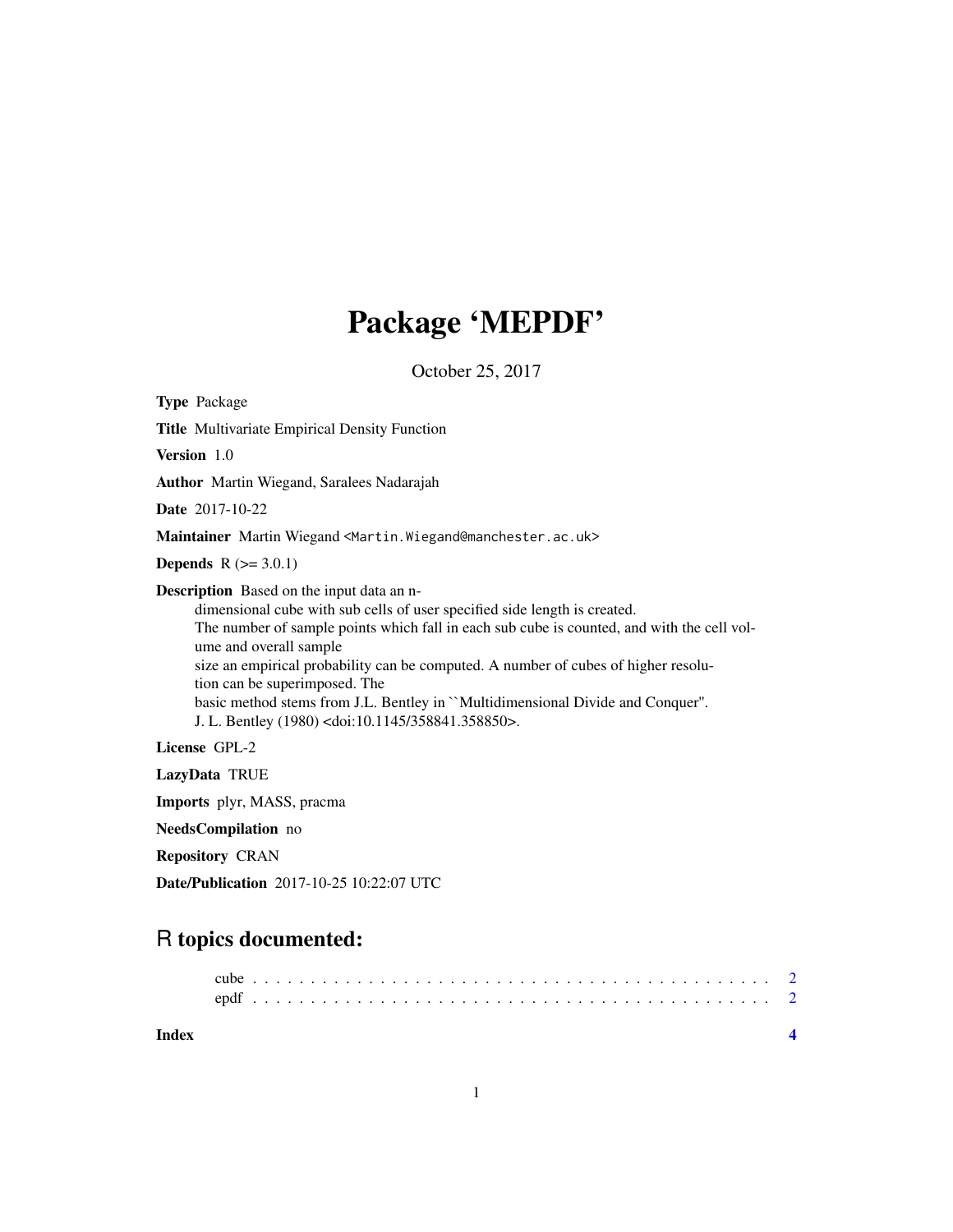## Package 'MEPDF'

October 25, 2017

Type Package Title Multivariate Empirical Density Function Version 1.0 Author Martin Wiegand, Saralees Nadarajah Date 2017-10-22 Maintainer Martin Wiegand <Martin.Wiegand@manchester.ac.uk> **Depends**  $R$  ( $>= 3.0.1$ ) Description Based on the input data an ndimensional cube with sub cells of user specified side length is created. The number of sample points which fall in each sub cube is counted, and with the cell volume and overall sample size an empirical probability can be computed. A number of cubes of higher resolution can be superimposed. The basic method stems from J.L. Bentley in ``Multidimensional Divide and Conquer''. J. L. Bentley (1980) <doi:10.1145/358841.358850>. License GPL-2 LazyData TRUE Imports plyr, MASS, pracma

NeedsCompilation no

Repository CRAN

Date/Publication 2017-10-25 10:22:07 UTC

### R topics documented:

| Index |  |  |  |  |  |  |  |  |  |  |  |  |  |  |  |  |  |  |  |  |  |  |
|-------|--|--|--|--|--|--|--|--|--|--|--|--|--|--|--|--|--|--|--|--|--|--|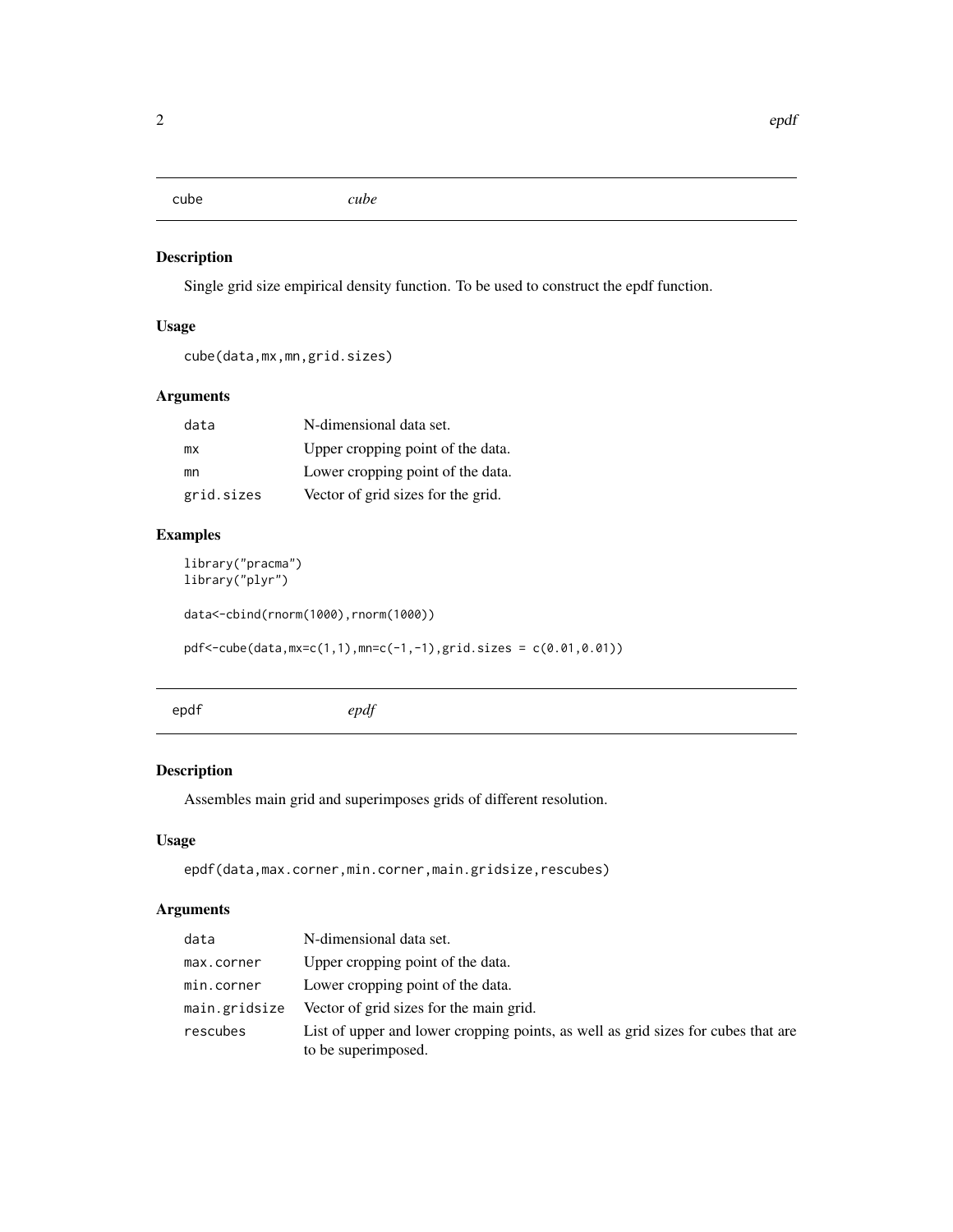<span id="page-1-0"></span>

#### Description

Single grid size empirical density function. To be used to construct the epdf function.

#### Usage

```
cube(data,mx,mn,grid.sizes)
```
#### Arguments

| data       | N-dimensional data set.            |
|------------|------------------------------------|
| mх         | Upper cropping point of the data.  |
| mn         | Lower cropping point of the data.  |
| grid.sizes | Vector of grid sizes for the grid. |

#### Examples

```
library("pracma")
library("plyr")
```
data<-cbind(rnorm(1000),rnorm(1000))

pdf<-cube(data,mx=c(1,1),mn=c(-1,-1),grid.sizes = c(0.01,0.01))

epdf *epdf*

#### Description

Assembles main grid and superimposes grids of different resolution.

#### Usage

epdf(data,max.corner,min.corner,main.gridsize,rescubes)

#### Arguments

| data          | N-dimensional data set.                                                                                  |
|---------------|----------------------------------------------------------------------------------------------------------|
| max.corner    | Upper cropping point of the data.                                                                        |
| min.corner    | Lower cropping point of the data.                                                                        |
| main.gridsize | Vector of grid sizes for the main grid.                                                                  |
| rescubes      | List of upper and lower cropping points, as well as grid sizes for cubes that are<br>to be superimposed. |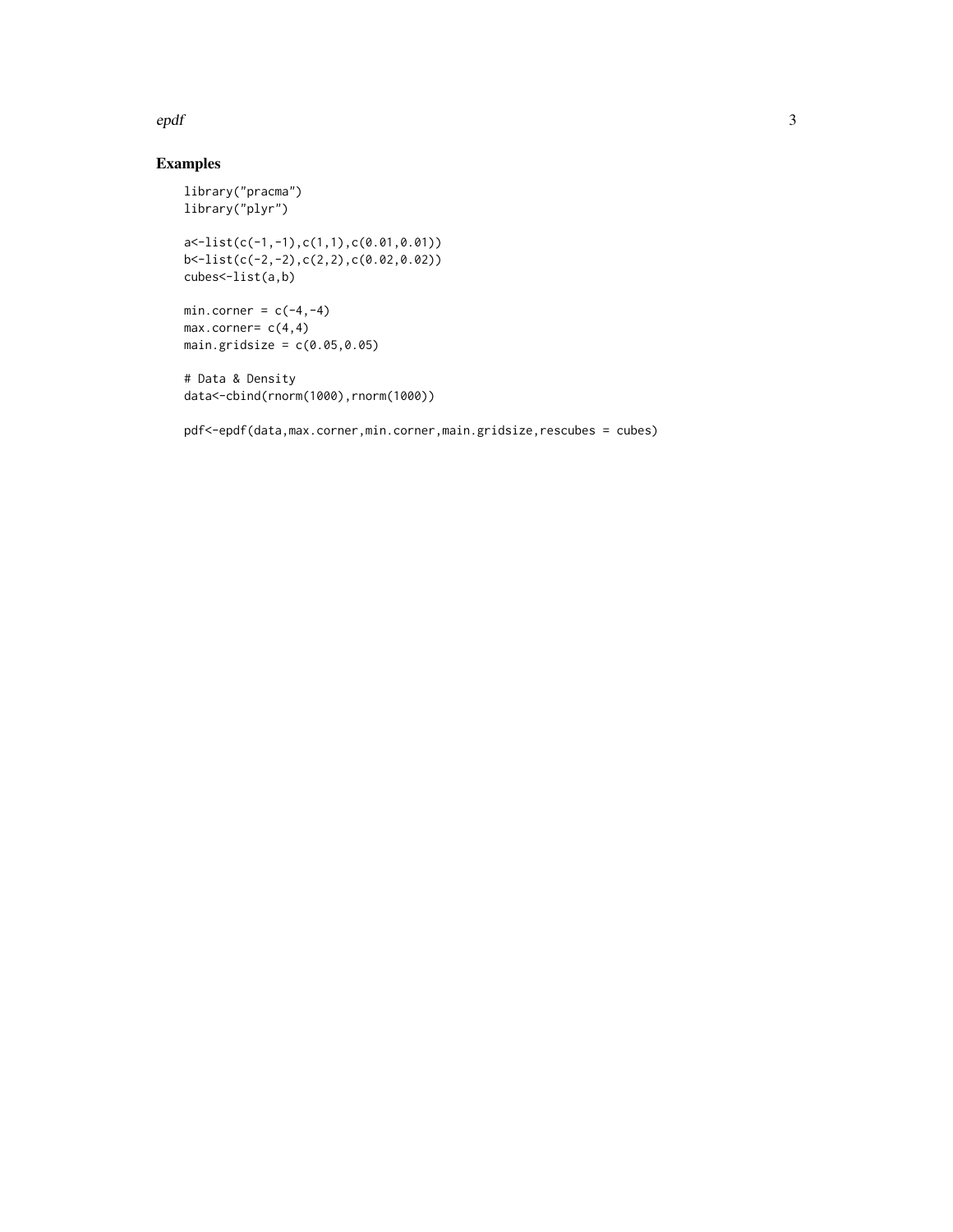#### epdf 3

#### Examples

```
library("pracma")
library("plyr")
a<-list(c(-1,-1),c(1,1),c(0.01,0.01))
b<-list(c(-2,-2),c(2,2),c(0.02,0.02))
cubes<-list(a,b)
min.corner = c(-4, -4)max.corner= c(4,4)main.gridsize = c(0.05, 0.05)# Data & Density
data<-cbind(rnorm(1000),rnorm(1000))
```
pdf<-epdf(data,max.corner,min.corner,main.gridsize,rescubes = cubes)